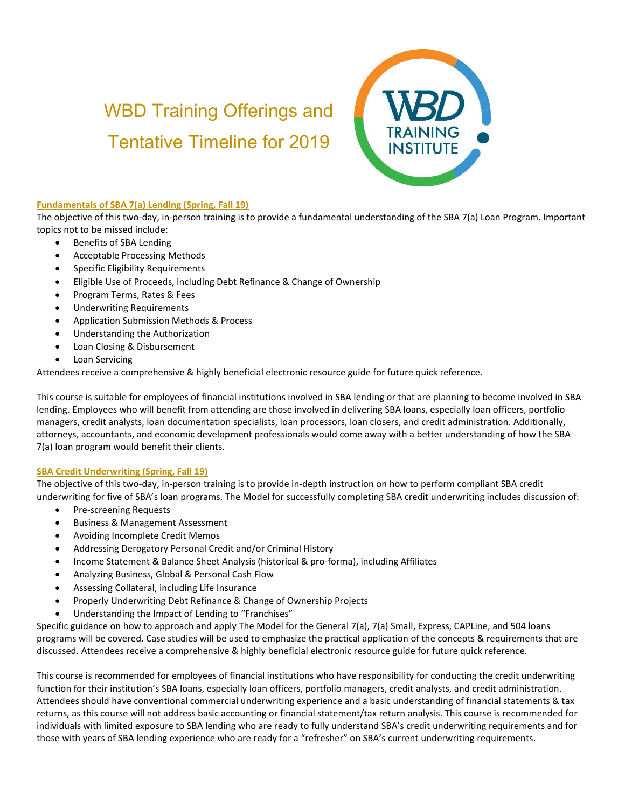# WBD Training Offerings and Tentative Timeline for 2019



## Fundamentals of SBA 7(a) Lending (Spring, Fall 19)

The objective of this two-day, in-person training is to provide a fundamental understanding of the SBA 7(a) Loan Program. Important topics not to be missed include:

- Benefits of SBA Lending
- Acceptable Processing Methods
- Specific Eligibility Requirements
- Eligible Use of Proceeds, including Debt Refinance & Change of Ownership
- Program Terms, Rates & Fees
- Underwriting Requirements
- Application Submission Methods & Process
- Understanding the Authorization
- Loan Closing & Disbursement
- Loan Servicing

Attendees receive a comprehensive & highly beneficial electronic resource guide for future quick reference.

This course is suitable for employees of financial institutions involved in SBA lending or that are planning to become involved in SBA lending. Employees who will benefit from attending are those involved in delivering SBA loans, especially loan officers, portfolio managers, credit analysts, loan documentation specialists, loan processors, loan closers, and credit administration. Additionally, attorneys, accountants, and economic development professionals would come away with a better understanding of how the SBA 7(a) loan program would benefit their clients.

## SBA Credit Underwriting (Spring, Fall 19)

The objective of this two-day, in-person training is to provide in-depth instruction on how to perform compliant SBA credit underwriting for five of SBA's loan programs. The Model for successfully completing SBA credit underwriting includes discussion of:

- Pre-screening Requests
- Business & Management Assessment
- Avoiding Incomplete Credit Memos
- Addressing Derogatory Personal Credit and/or Criminal History
- Income Statement & Balance Sheet Analysis (historical & pro-forma), including Affiliates
- Analyzing Business, Global & Personal Cash Flow
- Assessing Collateral, including Life Insurance
- Properly Underwriting Debt Refinance & Change of Ownership Projects
- Understanding the Impact of Lending to "Franchises"

Specific guidance on how to approach and apply The Model for the General 7(a), 7(a) Small, Express, CAPLine, and 504 loans programs will be covered. Case studies will be used to emphasize the practical application of the concepts & requirements that are discussed. Attendees receive a comprehensive & highly beneficial electronic resource guide for future quick reference.

This course is recommended for employees of financial institutions who have responsibility for conducting the credit underwriting function for their institution's SBA loans, especially loan officers, portfolio managers, credit analysts, and credit administration. Attendees should have conventional commercial underwriting experience and a basic understanding of financial statements & tax returns, as this course will not address basic accounting or financial statement/tax return analysis. This course is recommended for individuals with limited exposure to SBA lending who are ready to fully understand SBA's credit underwriting requirements and for those with years of SBA lending experience who are ready for a "refresher" on SBA's current underwriting requirements.